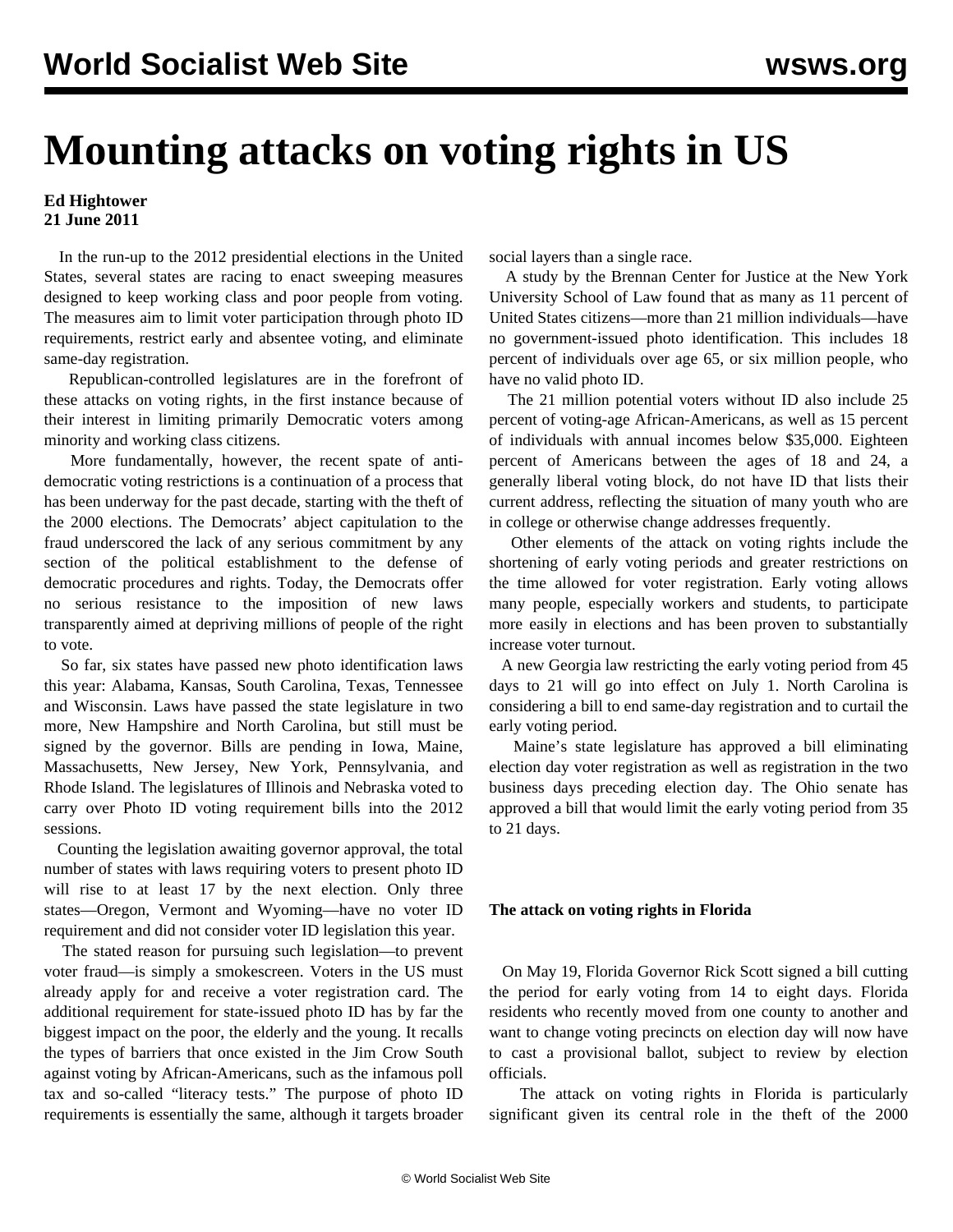## **Mounting attacks on voting rights in US**

## **Ed Hightower 21 June 2011**

 In the run-up to the 2012 presidential elections in the United States, several states are racing to enact sweeping measures designed to keep working class and poor people from voting. The measures aim to limit voter participation through photo ID requirements, restrict early and absentee voting, and eliminate same-day registration.

 Republican-controlled legislatures are in the forefront of these attacks on voting rights, in the first instance because of their interest in limiting primarily Democratic voters among minority and working class citizens.

 More fundamentally, however, the recent spate of antidemocratic voting restrictions is a continuation of a process that has been underway for the past decade, starting with the theft of the 2000 elections. The Democrats' abject capitulation to the fraud underscored the lack of any serious commitment by any section of the political establishment to the defense of democratic procedures and rights. Today, the Democrats offer no serious resistance to the imposition of new laws transparently aimed at depriving millions of people of the right to vote.

 So far, six states have passed new photo identification laws this year: Alabama, Kansas, South Carolina, Texas, Tennessee and Wisconsin. Laws have passed the state legislature in two more, New Hampshire and North Carolina, but still must be signed by the governor. Bills are pending in Iowa, Maine, Massachusetts, New Jersey, New York, Pennsylvania, and Rhode Island. The legislatures of Illinois and Nebraska voted to carry over Photo ID voting requirement bills into the 2012 sessions.

 Counting the legislation awaiting governor approval, the total number of states with laws requiring voters to present photo ID will rise to at least 17 by the next election. Only three states—Oregon, Vermont and Wyoming—have no voter ID requirement and did not consider voter ID legislation this year.

 The stated reason for pursuing such legislation—to prevent voter fraud—is simply a smokescreen. Voters in the US must already apply for and receive a voter registration card. The additional requirement for state-issued photo ID has by far the biggest impact on the poor, the elderly and the young. It recalls the types of barriers that once existed in the Jim Crow South against voting by African-Americans, such as the infamous poll tax and so-called "literacy tests." The purpose of photo ID requirements is essentially the same, although it targets broader

social layers than a single race.

 A study by the Brennan Center for Justice at the New York University School of Law found that as many as 11 percent of United States citizens—more than 21 million individuals—have no government-issued photo identification. This includes 18 percent of individuals over age 65, or six million people, who have no valid photo ID.

 The 21 million potential voters without ID also include 25 percent of voting-age African-Americans, as well as 15 percent of individuals with annual incomes below \$35,000. Eighteen percent of Americans between the ages of 18 and 24, a generally liberal voting block, do not have ID that lists their current address, reflecting the situation of many youth who are in college or otherwise change addresses frequently.

 Other elements of the attack on voting rights include the shortening of early voting periods and greater restrictions on the time allowed for voter registration. Early voting allows many people, especially workers and students, to participate more easily in elections and has been proven to substantially increase voter turnout.

 A new Georgia law restricting the early voting period from 45 days to 21 will go into effect on July 1. North Carolina is considering a bill to end same-day registration and to curtail the early voting period.

 Maine's state legislature has approved a bill eliminating election day voter registration as well as registration in the two business days preceding election day. The Ohio senate has approved a bill that would limit the early voting period from 35 to 21 days.

## **The attack on voting rights in Florida**

 On May 19, Florida Governor Rick Scott signed a bill cutting the period for early voting from 14 to eight days. Florida residents who recently moved from one county to another and want to change voting precincts on election day will now have to cast a provisional ballot, subject to review by election officials.

 The attack on voting rights in Florida is particularly significant given its central role in the theft of the 2000